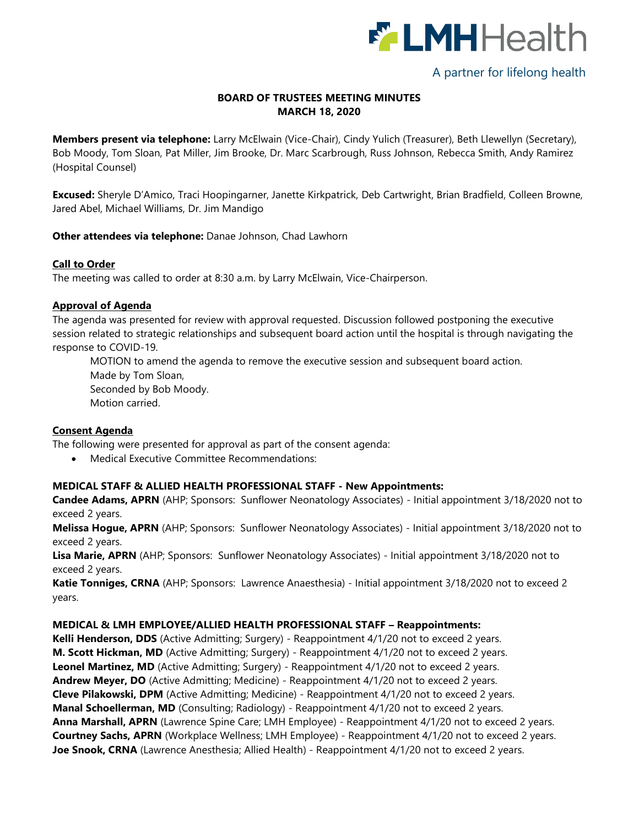

# A partner for lifelong health

## **BOARD OF TRUSTEES MEETING MINUTES MARCH 18, 2020**

**Members present via telephone:** Larry McElwain (Vice-Chair), Cindy Yulich (Treasurer), Beth Llewellyn (Secretary), Bob Moody, Tom Sloan, Pat Miller, Jim Brooke, Dr. Marc Scarbrough, Russ Johnson, Rebecca Smith, Andy Ramirez (Hospital Counsel)

**Excused:** Sheryle D'Amico, Traci Hoopingarner, Janette Kirkpatrick, Deb Cartwright, Brian Bradfield, Colleen Browne, Jared Abel, Michael Williams, Dr. Jim Mandigo

**Other attendees via telephone:** Danae Johnson, Chad Lawhorn

#### **Call to Order**

The meeting was called to order at 8:30 a.m. by Larry McElwain, Vice-Chairperson.

#### **Approval of Agenda**

The agenda was presented for review with approval requested. Discussion followed postponing the executive session related to strategic relationships and subsequent board action until the hospital is through navigating the response to COVID-19.

MOTION to amend the agenda to remove the executive session and subsequent board action. Made by Tom Sloan, Seconded by Bob Moody. Motion carried.

#### **Consent Agenda**

The following were presented for approval as part of the consent agenda:

Medical Executive Committee Recommendations:

#### **MEDICAL STAFF & ALLIED HEALTH PROFESSIONAL STAFF - New Appointments:**

**Candee Adams, APRN** (AHP; Sponsors: Sunflower Neonatology Associates) - Initial appointment 3/18/2020 not to exceed 2 years.

**Melissa Hogue, APRN** (AHP; Sponsors: Sunflower Neonatology Associates) - Initial appointment 3/18/2020 not to exceed 2 years.

**Lisa Marie, APRN** (AHP; Sponsors: Sunflower Neonatology Associates) - Initial appointment 3/18/2020 not to exceed 2 years.

**Katie Tonniges, CRNA** (AHP; Sponsors: Lawrence Anaesthesia) - Initial appointment 3/18/2020 not to exceed 2 years.

#### **MEDICAL & LMH EMPLOYEE/ALLIED HEALTH PROFESSIONAL STAFF – Reappointments:**

**Kelli Henderson, DDS** (Active Admitting; Surgery) - Reappointment 4/1/20 not to exceed 2 years. **M. Scott Hickman, MD** (Active Admitting; Surgery) - Reappointment 4/1/20 not to exceed 2 years. **Leonel Martinez, MD** (Active Admitting; Surgery) - Reappointment 4/1/20 not to exceed 2 years. **Andrew Meyer, DO** (Active Admitting; Medicine) - Reappointment 4/1/20 not to exceed 2 years. **Cleve Pilakowski, DPM** (Active Admitting; Medicine) - Reappointment 4/1/20 not to exceed 2 years. **Manal Schoellerman, MD** (Consulting; Radiology) - Reappointment 4/1/20 not to exceed 2 years. **Anna Marshall, APRN** (Lawrence Spine Care; LMH Employee) - Reappointment 4/1/20 not to exceed 2 years. **Courtney Sachs, APRN** (Workplace Wellness; LMH Employee) - Reappointment 4/1/20 not to exceed 2 years. Joe Snook, CRNA (Lawrence Anesthesia; Allied Health) - Reappointment 4/1/20 not to exceed 2 years.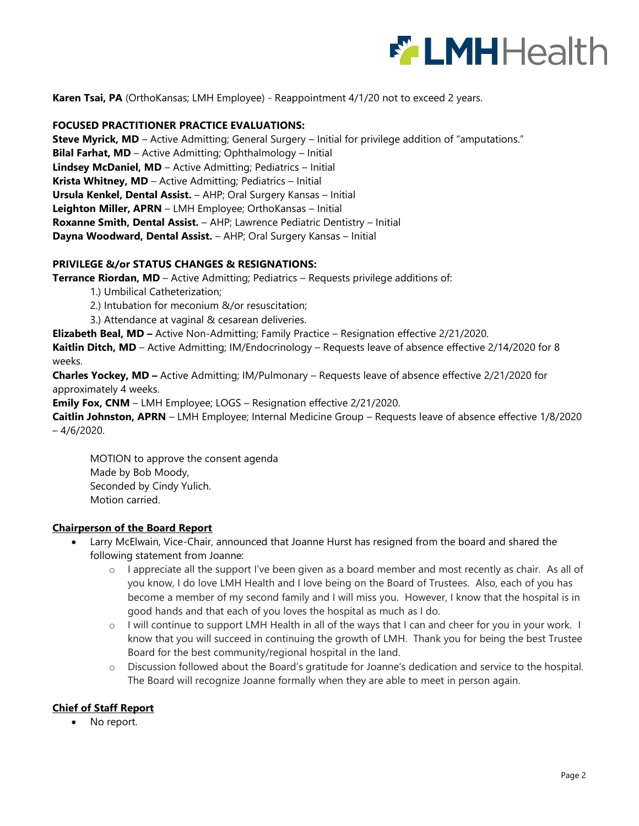

**Karen Tsai, PA** (OrthoKansas; LMH Employee) - Reappointment 4/1/20 not to exceed 2 years.

#### **FOCUSED PRACTITIONER PRACTICE EVALUATIONS:**

**Steve Myrick, MD** – Active Admitting; General Surgery – Initial for privilege addition of "amputations." **Bilal Farhat, MD** – Active Admitting; Ophthalmology – Initial **Lindsey McDaniel, MD** – Active Admitting; Pediatrics – Initial **Krista Whitney, MD** – Active Admitting; Pediatrics – Initial **Ursula Kenkel, Dental Assist.** – AHP; Oral Surgery Kansas – Initial **Leighton Miller, APRN** – LMH Employee; OrthoKansas – Initial **Roxanne Smith, Dental Assist.** – AHP; Lawrence Pediatric Dentistry – Initial **Dayna Woodward, Dental Assist.** – AHP; Oral Surgery Kansas – Initial

#### **PRIVILEGE &/or STATUS CHANGES & RESIGNATIONS:**

**Terrance Riordan, MD** – Active Admitting; Pediatrics – Requests privilege additions of:

- 1.) Umbilical Catheterization;
- 2.) Intubation for meconium &/or resuscitation;
- 3.) Attendance at vaginal & cesarean deliveries.

**Elizabeth Beal, MD –** Active Non-Admitting; Family Practice – Resignation effective 2/21/2020.

**Kaitlin Ditch, MD** – Active Admitting; IM/Endocrinology – Requests leave of absence effective 2/14/2020 for 8 weeks.

**Charles Yockey, MD –** Active Admitting; IM/Pulmonary – Requests leave of absence effective 2/21/2020 for approximately 4 weeks.

**Emily Fox, CNM** – LMH Employee; LOGS – Resignation effective 2/21/2020.

**Caitlin Johnston, APRN** – LMH Employee; Internal Medicine Group – Requests leave of absence effective 1/8/2020  $-4/6/2020$ .

MOTION to approve the consent agenda Made by Bob Moody, Seconded by Cindy Yulich. Motion carried.

## **Chairperson of the Board Report**

- Larry McElwain, Vice-Chair, announced that Joanne Hurst has resigned from the board and shared the following statement from Joanne:
	- $\circ$  I appreciate all the support I've been given as a board member and most recently as chair. As all of you know, I do love LMH Health and I love being on the Board of Trustees. Also, each of you has become a member of my second family and I will miss you. However, I know that the hospital is in good hands and that each of you loves the hospital as much as I do.
	- o I will continue to support LMH Health in all of the ways that I can and cheer for you in your work. I know that you will succeed in continuing the growth of LMH. Thank you for being the best Trustee Board for the best community/regional hospital in the land.
	- o Discussion followed about the Board's gratitude for Joanne's dedication and service to the hospital. The Board will recognize Joanne formally when they are able to meet in person again.

## **Chief of Staff Report**

• No report.